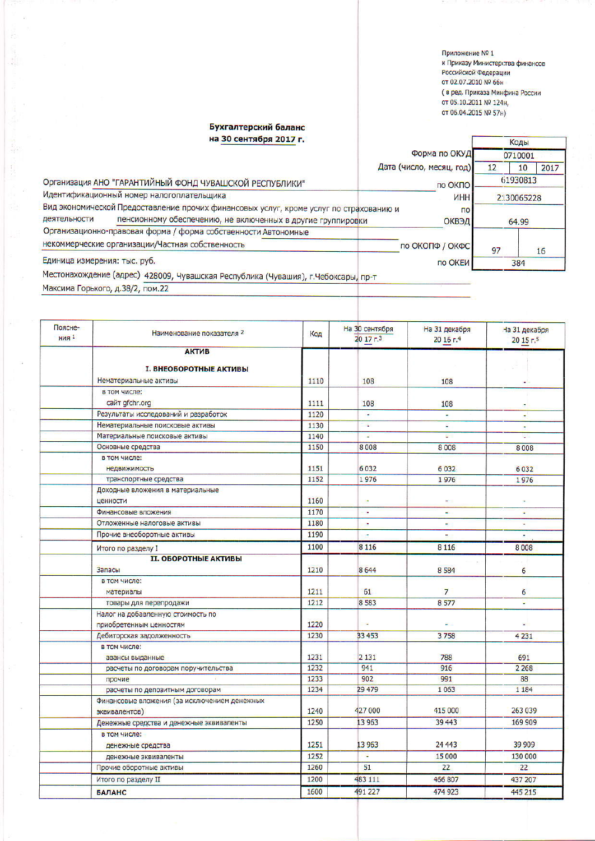Приложение № 1 к Приказу Министерства финансов Российской Федерации от 02.07.2010 № 66н ( в ред. Приказа Минфина России ОТ 05.10.2011 № 124н, от 06.04.2015 № 57н)

## Бухгалтерский баланс на 30 сентября 2017 г.

Коды Форма по ОКУД 0710001 Дата (число, месяц, год)  $12$  $10$ 2017 Организация АНО "ГАРАНТИЙНЫЙ ФОНД ЧУВАШСКОЙ РЕСПУБЛИКИ" 61930813 по ОКПО Идентификационный номер налогоплательщика **MHH** 2130065228 Вид экономической Предоставление прочих финансовых услуг, кроме услуг по страхованию и  $\overline{10}$ пенсионному обеспечению, не включенных в другие группировки деятельности ОКВЭД 64.99 Организационно-правовая форма / форма собственности Автономные некоммерческие организации/Частная собственность по ОКОПФ / ОКФС 97  $16$ Единица измерения: тыс. руб. по ОКЕИ 384 Местонахождение (адрес) 428009, Чувашская Республика (Чувашия), г.Чебоксары, пр-т

Максима Горького, д.38/2, пом.22

| Поясне-<br><b>НИЯ</b> 1 | Наименование показателя 2                    | Код  | На 30 сентября<br>2017 <sub>5</sub> | На 31 декабря<br>20 16 г.4 | На 31 декабря<br>2015r <sub>5</sub> |
|-------------------------|----------------------------------------------|------|-------------------------------------|----------------------------|-------------------------------------|
|                         | <b>АКТИВ</b>                                 |      |                                     |                            |                                     |
|                         |                                              |      |                                     |                            |                                     |
|                         | <b>I. ВНЕОБОРОТНЫЕ АКТИВЫ</b>                |      |                                     |                            |                                     |
|                         | Нематериальные активы                        | 1110 | 108                                 | 108                        |                                     |
|                         | в том числе:                                 |      |                                     |                            |                                     |
|                         | сайт gfchr.org                               | 1111 | 108                                 | 108                        |                                     |
|                         | Результаты исследований и разработок         | 1120 | ٠                                   |                            | ٠                                   |
|                         | Нематериальные поисковые активы              | 1130 | ¥                                   | ε                          | ÷                                   |
|                         | Материальные поисковые активы                | 1140 | $\overline{\phantom{a}}$            | 慶                          | ¥.                                  |
|                         | Основные средства                            | 1150 | 8008                                | 8008                       | 8008                                |
|                         | в том числе:                                 |      |                                     |                            |                                     |
|                         | недвижимость                                 | 1151 | 6032                                | 6032                       | 6032                                |
|                         | транспортные средства                        | 1152 | 1976                                | 1976                       | 1976                                |
|                         | Доходные вложения в материальные             | 1160 |                                     |                            |                                     |
|                         | ценности                                     | 1170 | ė                                   |                            | ٠                                   |
|                         | Финансовые вложения                          |      | ٠                                   | ÷                          | ٠                                   |
|                         | Отложенные налоговые активы                  | 1180 | ×                                   |                            |                                     |
|                         | Прочие внеоборотные активы                   | 1190 | ÷                                   |                            |                                     |
|                         | Итого по разделу I                           | 1100 | 8 1 1 6                             | 8 1 1 6                    | 8008                                |
|                         | <b>II. ОБОРОТНЫЕ АКТИВЫ</b>                  |      |                                     |                            |                                     |
|                         | Запасы                                       | 1210 | 8644                                | 8 5 8 4                    | 6                                   |
|                         | в том числе:                                 |      |                                     |                            |                                     |
|                         | материалы                                    | 1211 | 61                                  | 7                          | 6                                   |
|                         | товары для перепродажи                       | 1212 | 8 5 8 3                             | 8577                       | ÷                                   |
|                         | Налог на добавленную стоимость по            |      |                                     |                            |                                     |
|                         | приобретенным ценностям                      | 1220 | w                                   |                            |                                     |
|                         | Дебиторская задолженность                    | 1230 | 33 453                              | 3758                       | 4 2 3 1                             |
|                         | в том числе:                                 |      |                                     |                            |                                     |
|                         | авансы выданные                              | 1231 | 2 1 3 1                             | 788                        | 691                                 |
|                         | расчеты по договорам поручительства          | 1232 | 941                                 | 916                        | 2 2 6 8                             |
|                         | прочие                                       | 1233 | 902                                 | 991                        | 88                                  |
|                         | расчеты по депозитным договорам              | 1234 | 29 479                              | 1063                       | 1 1 8 4                             |
|                         | Финансовые вложения (за исключением денежных |      |                                     |                            |                                     |
|                         | эквивалентов)                                | 1240 | 427 000                             | 415 000                    | 263 039                             |
|                         | Денежные средства и денежные эквиваленты     | 1250 | 13 963                              | 39 443                     | 169 909                             |
|                         | в том числе:                                 |      |                                     |                            |                                     |
|                         | денежные средства                            | 1251 | 13 963                              | 24 4 43                    | 39 909                              |
|                         | денежные эквиваленты                         | 1252 | Ξ                                   | 15 000                     | 130 000                             |
|                         | Прочие оборотные активы                      | 1260 | 51                                  | 22                         | 22                                  |
|                         | Итого по разделу II                          | 1200 | 483 111                             | 466 807                    | 437 207                             |
|                         | <b>БАЛАНС</b>                                | 1600 | 491 227                             | 474 923                    | 445 215                             |